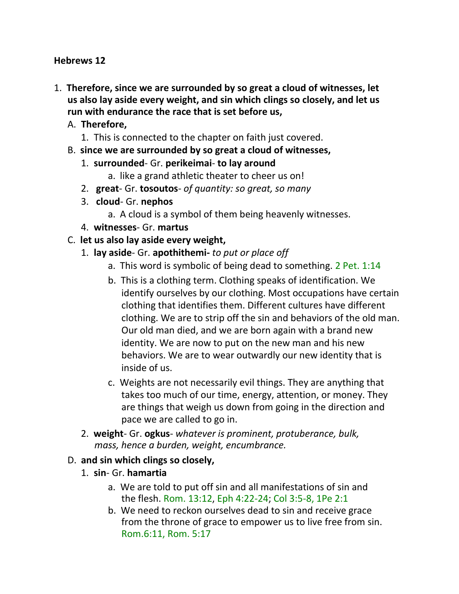#### **Hebrews 12**

- 1. **Therefore, since we are surrounded by so great a cloud of witnesses, let us also lay aside every weight, and sin which clings so closely, and let us run with endurance the race that is set before us,**
	- A. **Therefore,**
		- 1. This is connected to the chapter on faith just covered.
	- B. **since we are surrounded by so great a cloud of witnesses,**
		- 1. **surrounded** Gr. **perikeimai to lay around**
			- a. like a grand athletic theater to cheer us on!
		- 2. **great** Gr. **tosoutos** *of quantity: so great, so many*
		- 3. **cloud** Gr. **nephos**
			- a. A cloud is a symbol of them being heavenly witnesses.
		- 4. **witnesses** Gr. **martus**
	- C. **let us also lay aside every weight,**
		- 1. **lay aside** Gr. **apothithemi-** *to put or place off*
			- a. This word is symbolic of being dead to something. 2 Pet. 1:14
			- b. This is a clothing term. Clothing speaks of identification. We identify ourselves by our clothing. Most occupations have certain clothing that identifies them. Different cultures have different clothing. We are to strip off the sin and behaviors of the old man. Our old man died, and we are born again with a brand new identity. We are now to put on the new man and his new behaviors. We are to wear outwardly our new identity that is inside of us.
			- c. Weights are not necessarily evil things. They are anything that takes too much of our time, energy, attention, or money. They are things that weigh us down from going in the direction and pace we are called to go in.
		- 2. **weight** Gr. **ogkus** *whatever is prominent, protuberance, bulk, mass, hence a burden, weight, encumbrance.*

### D. **and sin which clings so closely,**

- 1. **sin** Gr. **hamartia**
	- a. We are told to put off sin and all manifestations of sin and the flesh. Rom. 13:12, Eph 4:22-24; Col 3:5-8, 1Pe 2:1
	- b. We need to reckon ourselves dead to sin and receive grace from the throne of grace to empower us to live free from sin. Rom.6:11, Rom. 5:17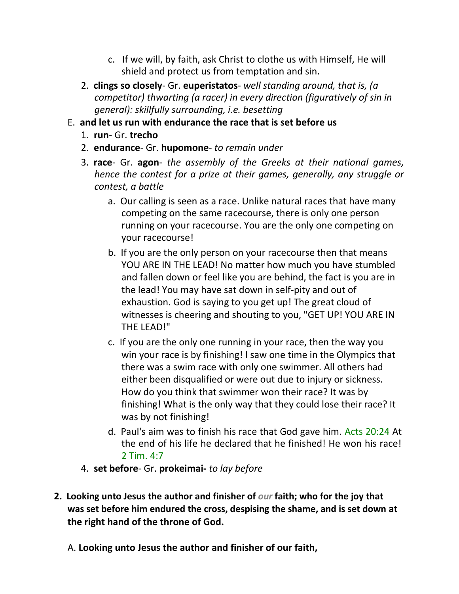- c. If we will, by faith, ask Christ to clothe us with Himself, He will shield and protect us from temptation and sin.
- 2. **clings so closely** Gr. **euperistatos** *well standing around, that is, (a competitor) thwarting (a racer) in every direction (figuratively of sin in general): skillfully surrounding, i.e. besetting*
- E. **and let us run with endurance the race that is set before us**
	- 1. **run** Gr. **trecho**
	- 2. **endurance** Gr. **hupomone** *to remain under*
	- 3. **race** Gr. **agon** *the assembly of the Greeks at their national games, hence the contest for a prize at their games, generally, any struggle or contest, a battle*
		- a. Our calling is seen as a race. Unlike natural races that have many competing on the same racecourse, there is only one person running on your racecourse. You are the only one competing on your racecourse!
		- b. If you are the only person on your racecourse then that means YOU ARE IN THE LEAD! No matter how much you have stumbled and fallen down or feel like you are behind, the fact is you are in the lead! You may have sat down in self-pity and out of exhaustion. God is saying to you get up! The great cloud of witnesses is cheering and shouting to you, "GET UP! YOU ARE IN THE LEAD!"
		- c. If you are the only one running in your race, then the way you win your race is by finishing! I saw one time in the Olympics that there was a swim race with only one swimmer. All others had either been disqualified or were out due to injury or sickness. How do you think that swimmer won their race? It was by finishing! What is the only way that they could lose their race? It was by not finishing!
		- d. Paul's aim was to finish his race that God gave him. Acts 20:24 At the end of his life he declared that he finished! He won his race! 2 Tim. 4:7
	- 4. **set before** Gr. **prokeimai-** *to lay before*
- **2. Looking unto Jesus the author and finisher of** *our* **faith; who for the joy that was set before him endured the cross, despising the shame, and is set down at the right hand of the throne of God.**
	- A. **Looking unto Jesus the author and finisher of our faith,**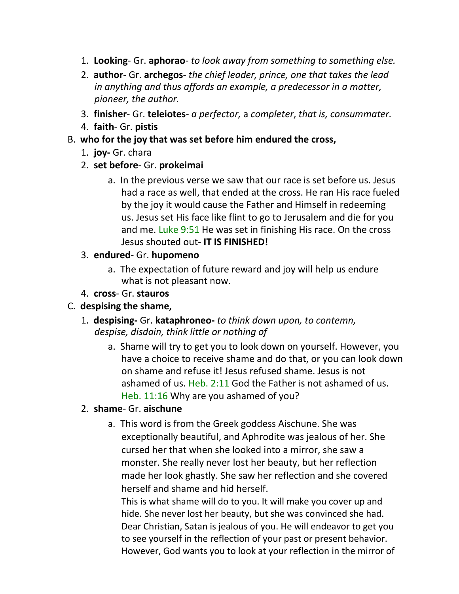- 1. **Looking** Gr. **aphorao** *to look away from something to something else.*
- 2. **author** Gr. **archegos** *the chief leader, prince, one that takes the lead in anything and thus affords an example, a predecessor in a matter, pioneer, the author.*
- 3. **finisher** Gr. **teleiotes** *a perfector,* a *completer*, *that is, consummater.*
- 4. **faith** Gr. **pistis**
- B. **who for the joy that was set before him endured the cross,**
	- 1. **joy-** Gr. chara
	- 2. **set before** Gr. **prokeimai**
		- a. In the previous verse we saw that our race is set before us. Jesus had a race as well, that ended at the cross. He ran His race fueled by the joy it would cause the Father and Himself in redeeming us. Jesus set His face like flint to go to Jerusalem and die for you and me. Luke 9:51 He was set in finishing His race. On the cross Jesus shouted out- **IT IS FINISHED!**
	- 3. **endured** Gr. **hupomeno**
		- a. The expectation of future reward and joy will help us endure what is not pleasant now.
	- 4. **cross** Gr. **stauros**
- C. **despising the shame,**
	- 1. **despising-** Gr. **kataphroneo-** *to think down upon, to contemn, despise, disdain, think little or nothing of*
		- a. Shame will try to get you to look down on yourself. However, you have a choice to receive shame and do that, or you can look down on shame and refuse it! Jesus refused shame. Jesus is not ashamed of us. Heb. 2:11 God the Father is not ashamed of us. Heb. 11:16 Why are you ashamed of you?
	- 2. **shame** Gr. **aischune**
		- a. This word is from the Greek goddess Aischune. She was exceptionally beautiful, and Aphrodite was jealous of her. She cursed her that when she looked into a mirror, she saw a monster. She really never lost her beauty, but her reflection made her look ghastly. She saw her reflection and she covered herself and shame and hid herself.

This is what shame will do to you. It will make you cover up and hide. She never lost her beauty, but she was convinced she had. Dear Christian, Satan is jealous of you. He will endeavor to get you to see yourself in the reflection of your past or present behavior. However, God wants you to look at your reflection in the mirror of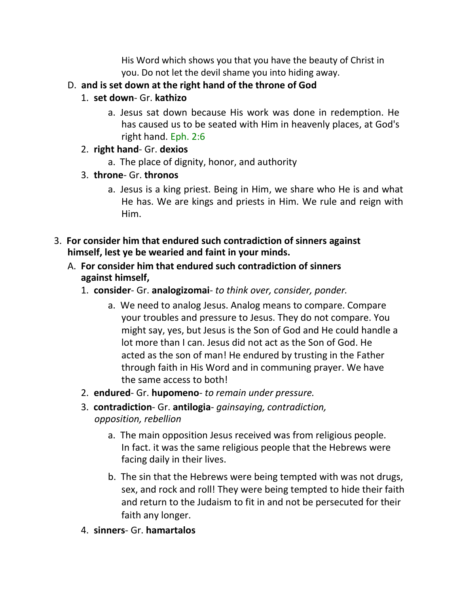His Word which shows you that you have the beauty of Christ in you. Do not let the devil shame you into hiding away.

- D. **and is set down at the right hand of the throne of God**
	- 1. **set down** Gr. **kathizo**
		- a. Jesus sat down because His work was done in redemption. He has caused us to be seated with Him in heavenly places, at God's right hand. Eph. 2:6
	- 2. **right hand** Gr. **dexios**
		- a. The place of dignity, honor, and authority
	- 3. **throne** Gr. **thronos**
		- a. Jesus is a king priest. Being in Him, we share who He is and what He has. We are kings and priests in Him. We rule and reign with Him.
- 3. **For consider him that endured such contradiction of sinners against himself, lest ye be wearied and faint in your minds.**
	- A. **For consider him that endured such contradiction of sinners against himself,**
		- 1. **consider** Gr. **analogizomai** *to think over, consider, ponder.*
			- a. We need to analog Jesus. Analog means to compare. Compare your troubles and pressure to Jesus. They do not compare. You might say, yes, but Jesus is the Son of God and He could handle a lot more than I can. Jesus did not act as the Son of God. He acted as the son of man! He endured by trusting in the Father through faith in His Word and in communing prayer. We have the same access to both!
		- 2. **endured** Gr. **hupomeno** *to remain under pressure.*
		- 3. **contradiction** Gr. **antilogia** *gainsaying, contradiction, opposition, rebellion*
			- a. The main opposition Jesus received was from religious people. In fact. it was the same religious people that the Hebrews were facing daily in their lives.
			- b. The sin that the Hebrews were being tempted with was not drugs, sex, and rock and roll! They were being tempted to hide their faith and return to the Judaism to fit in and not be persecuted for their faith any longer.
		- 4. **sinners** Gr. **hamartalos**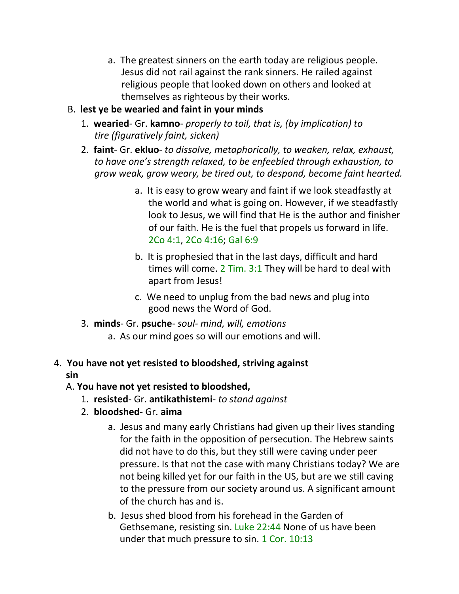- a. The greatest sinners on the earth today are religious people. Jesus did not rail against the rank sinners. He railed against religious people that looked down on others and looked at themselves as righteous by their works.
- B. **lest ye be wearied and faint in your minds**
	- 1. **wearied** Gr. **kamno** *properly to toil, that is, (by implication) to tire (figuratively faint, sicken)*
	- 2. **faint** Gr. **ekluo** *to dissolve, metaphorically, to weaken, relax, exhaust, to have one's strength relaxed, to be enfeebled through exhaustion, to grow weak, grow weary, be tired out, to despond, become faint hearted.*
		- a. It is easy to grow weary and faint if we look steadfastly at the world and what is going on. However, if we steadfastly look to Jesus, we will find that He is the author and finisher of our faith. He is the fuel that propels us forward in life. 2Co 4:1, 2Co 4:16; Gal 6:9
		- b. It is prophesied that in the last days, difficult and hard times will come. 2 Tim. 3:1 They will be hard to deal with apart from Jesus!
		- c. We need to unplug from the bad news and plug into good news the Word of God.
	- 3. **minds** Gr. **psuche** *soul- mind, will, emotions*
		- a. As our mind goes so will our emotions and will.

## 4. **You have not yet resisted to bloodshed, striving against sin**

### A. **You have not yet resisted to bloodshed,**

- 1. **resisted** Gr. **antikathistemi** *to stand against*
- 2. **bloodshed** Gr. **aima**
	- a. Jesus and many early Christians had given up their lives standing for the faith in the opposition of persecution. The Hebrew saints did not have to do this, but they still were caving under peer pressure. Is that not the case with many Christians today? We are not being killed yet for our faith in the US, but are we still caving to the pressure from our society around us. A significant amount of the church has and is.
	- b. Jesus shed blood from his forehead in the Garden of Gethsemane, resisting sin. Luke 22:44 None of us have been under that much pressure to sin. 1 Cor. 10:13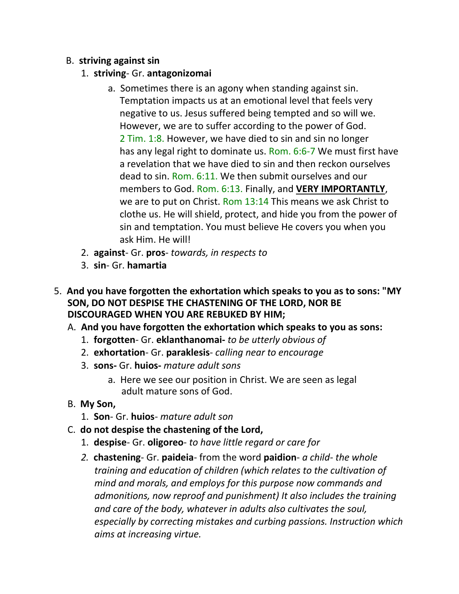#### B. **striving against sin**

- 1. **striving** Gr. **antagonizomai**
	- a. Sometimes there is an agony when standing against sin. Temptation impacts us at an emotional level that feels very negative to us. Jesus suffered being tempted and so will we. However, we are to suffer according to the power of God. 2 Tim. 1:8. However, we have died to sin and sin no longer has any legal right to dominate us. Rom. 6:6-7 We must first have a revelation that we have died to sin and then reckon ourselves dead to sin. Rom. 6:11. We then submit ourselves and our members to God. Rom. 6:13. Finally, and **VERY IMPORTANTLY**, we are to put on Christ. Rom 13:14 This means we ask Christ to clothe us. He will shield, protect, and hide you from the power of sin and temptation. You must believe He covers you when you ask Him. He will!
- 2. **against** Gr. **pros** *towards, in respects to*
- 3. **sin** Gr. **hamartia**
- 5. **And you have forgotten the exhortation which speaks to you as to sons: "MY SON, DO NOT DESPISE THE CHASTENING OF THE LORD, NOR BE DISCOURAGED WHEN YOU ARE REBUKED BY HIM;**
	- A. **And you have forgotten the exhortation which speaks to you as sons:**
		- 1. **forgotten** Gr. **eklanthanomai-** *to be utterly obvious of*
		- 2. **exhortation** Gr. **paraklesis** *calling near to encourage*
		- 3. **sons-** Gr. **huios-** *mature adult sons*
			- a. Here we see our position in Christ. We are seen as legal adult mature sons of God.
	- B. **My Son,**
		- 1. **Son** Gr. **huios** *mature adult son*
	- C. **do not despise the chastening of the Lord,**
		- 1. **despise** Gr. **oligoreo** *to have little regard or care for*
		- *2.* **chastening** Gr. **paideia** from the word **paidion** *a child- the whole training and education of children (which relates to the cultivation of mind and morals, and employs for this purpose now commands and admonitions, now reproof and punishment) It also includes the training and care of the body, whatever in adults also cultivates the soul, especially by correcting mistakes and curbing passions. Instruction which aims at increasing virtue.*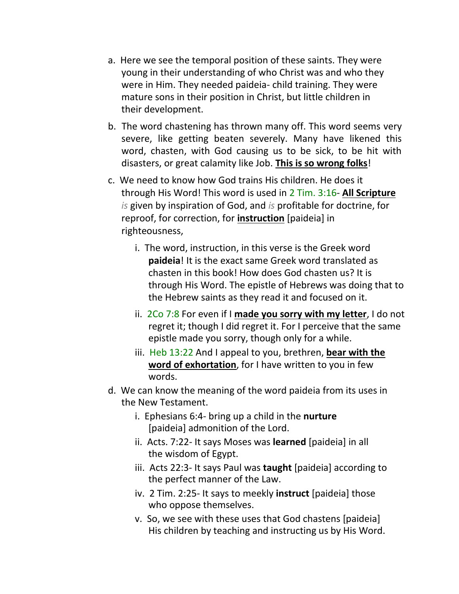- a. Here we see the temporal position of these saints. They were young in their understanding of who Christ was and who they were in Him. They needed paideia- child training. They were mature sons in their position in Christ, but little children in their development.
- b. The word chastening has thrown many off. This word seems very severe, like getting beaten severely. Many have likened this word, chasten, with God causing us to be sick, to be hit with disasters, or great calamity like Job. **This is so wrong folks**!
- c. We need to know how God trains His children. He does it through His Word! This word is used in 2 Tim. 3:16- **All Scripture** *is* given by inspiration of God, and *is* profitable for doctrine, for reproof, for correction, for **instruction** [paideia] in righteousness,
	- i. The word, instruction, in this verse is the Greek word **paideia**! It is the exact same Greek word translated as chasten in this book! How does God chasten us? It is through His Word. The epistle of Hebrews was doing that to the Hebrew saints as they read it and focused on it.
	- ii. 2Co 7:8 For even if I **made you sorry with my letter**, I do not regret it; though I did regret it. For I perceive that the same epistle made you sorry, though only for a while.
	- iii. Heb 13:22 And I appeal to you, brethren, **bear with the word of exhortation**, for I have written to you in few words.
- d. We can know the meaning of the word paideia from its uses in the New Testament.
	- i. Ephesians 6:4- bring up a child in the **nurture** [paideia] admonition of the Lord.
	- ii. Acts. 7:22- It says Moses was **learned** [paideia] in all the wisdom of Egypt.
	- iii. Acts 22:3- It says Paul was **taught** [paideia] according to the perfect manner of the Law.
	- iv. 2 Tim. 2:25- It says to meekly **instruct** [paideia] those who oppose themselves.
	- v. So, we see with these uses that God chastens [paideia] His children by teaching and instructing us by His Word.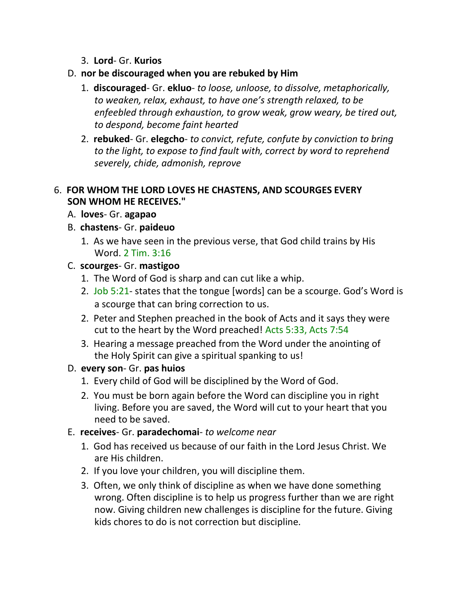- 3. **Lord** Gr. **Kurios**
- D. **nor be discouraged when you are rebuked by Him**
	- 1. **discouraged** Gr. **ekluo** *to loose, unloose, to dissolve, metaphorically, to weaken, relax, exhaust, to have one's strength relaxed, to be enfeebled through exhaustion, to grow weak, grow weary, be tired out, to despond, become faint hearted*
	- 2. **rebuked** Gr. **elegcho** *to convict, refute, confute by conviction to bring to the light, to expose to find fault with, correct by word to reprehend severely, chide, admonish, reprove*

#### 6. **FOR WHOM THE LORD LOVES HE CHASTENS, AND SCOURGES EVERY SON WHOM HE RECEIVES."**

- A. **loves** Gr. **agapao**
- B. **chastens** Gr. **paideuo**
	- 1. As we have seen in the previous verse, that God child trains by His Word. 2 Tim. 3:16

#### C. **scourges**- Gr. **mastigoo**

- 1. The Word of God is sharp and can cut like a whip.
- 2. Job 5:21- states that the tongue [words] can be a scourge. God's Word is a scourge that can bring correction to us.
- 2. Peter and Stephen preached in the book of Acts and it says they were cut to the heart by the Word preached! Acts 5:33, Acts 7:54
- 3. Hearing a message preached from the Word under the anointing of the Holy Spirit can give a spiritual spanking to us!
- D. **every son** Gr. **pas huios**
	- 1. Every child of God will be disciplined by the Word of God.
	- 2. You must be born again before the Word can discipline you in right living. Before you are saved, the Word will cut to your heart that you need to be saved.
- E. **receives** Gr. **paradechomai** *to welcome near*
	- 1. God has received us because of our faith in the Lord Jesus Christ. We are His children.
	- 2. If you love your children, you will discipline them.
	- 3. Often, we only think of discipline as when we have done something wrong. Often discipline is to help us progress further than we are right now. Giving children new challenges is discipline for the future. Giving kids chores to do is not correction but discipline.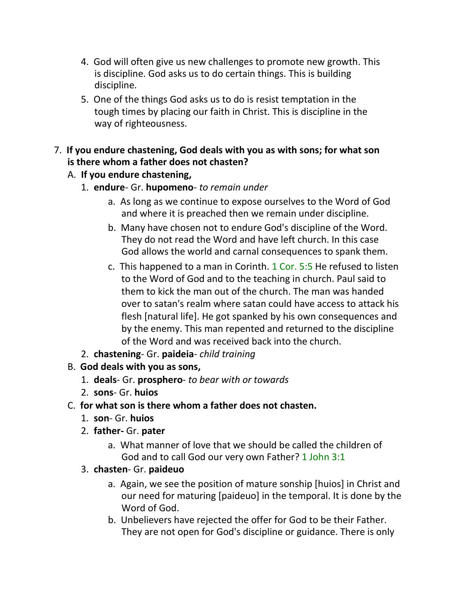- 4. God will often give us new challenges to promote new growth. This is discipline. God asks us to do certain things. This is building discipline.
- 5. One of the things God asks us to do is resist temptation in the tough times by placing our faith in Christ. This is discipline in the way of righteousness.

### 7. **If you endure chastening, God deals with you as with sons; for what son is there whom a father does not chasten?**

### A. **If you endure chastening,**

- 1. **endure** Gr. **hupomeno** *to remain under*
	- a. As long as we continue to expose ourselves to the Word of God and where it is preached then we remain under discipline.
	- b. Many have chosen not to endure God's discipline of the Word. They do not read the Word and have left church. In this case God allows the world and carnal consequences to spank them.
	- c. This happened to a man in Corinth. 1 Cor. 5:5 He refused to listen to the Word of God and to the teaching in church. Paul said to them to kick the man out of the church. The man was handed over to satan's realm where satan could have access to attack his flesh [natural life]. He got spanked by his own consequences and by the enemy. This man repented and returned to the discipline of the Word and was received back into the church.
- 2. **chastening** Gr. **paideia** *child training*
- B. **God deals with you as sons,**
	- 1. **deals** Gr. **prosphero** *to bear with or towards*
	- 2. **sons** Gr. **huios**
- C. **for what son is there whom a father does not chasten.**
	- 1. **son** Gr. **huios**
	- 2. **father-** Gr. **pater**
		- a. What manner of love that we should be called the children of God and to call God our very own Father? 1 John 3:1
	- 3. **chasten** Gr. **paideuo**
		- a. Again, we see the position of mature sonship [huios] in Christ and our need for maturing [paideuo] in the temporal. It is done by the Word of God.
		- b. Unbelievers have rejected the offer for God to be their Father. They are not open for God's discipline or guidance. There is only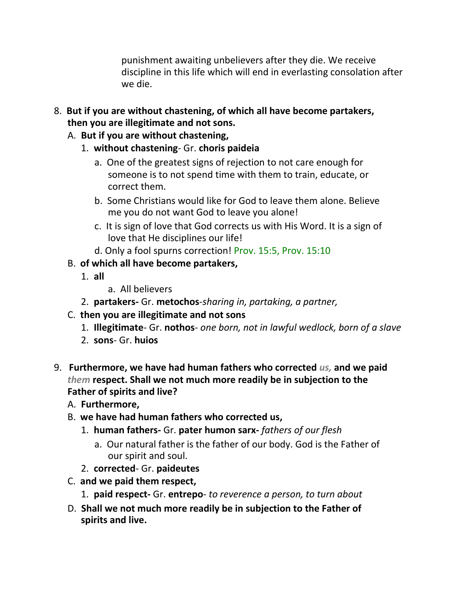punishment awaiting unbelievers after they die. We receive discipline in this life which will end in everlasting consolation after we die.

- 8. **But if you are without chastening, of which all have become partakers, then you are illegitimate and not sons.**
	- A. **But if you are without chastening,**
		- 1. **without chastening** Gr. **choris paideia**
			- a. One of the greatest signs of rejection to not care enough for someone is to not spend time with them to train, educate, or correct them.
			- b. Some Christians would like for God to leave them alone. Believe me you do not want God to leave you alone!
			- c. It is sign of love that God corrects us with His Word. It is a sign of love that He disciplines our life!
			- d. Only a fool spurns correction! Prov. 15:5, Prov. 15:10
	- B. **of which all have become partakers,**
		- 1. **all**
- a. All believers
- 2. **partakers-** Gr. **metochos**-*sharing in, partaking, a partner,*
- C. **then you are illegitimate and not sons**
	- 1. **Illegitimate** Gr. **nothos** *one born, not in lawful wedlock, born of a slave*
	- 2. **sons** Gr. **huios**
- 9. **Furthermore, we have had human fathers who corrected** *us,* **and we paid**  *them* **respect. Shall we not much more readily be in subjection to the Father of spirits and live?**
	- A. **Furthermore,**
	- B. **we have had human fathers who corrected us,**
		- 1. **human fathers-** Gr. **pater humon sarx-** *fathers of our flesh*
			- a. Our natural father is the father of our body. God is the Father of our spirit and soul.
		- 2. **corrected** Gr. **paideutes**
	- C. **and we paid them respect,**
		- 1. **paid respect-** Gr. **entrepo** *to reverence a person, to turn about*
	- D. **Shall we not much more readily be in subjection to the Father of spirits and live.**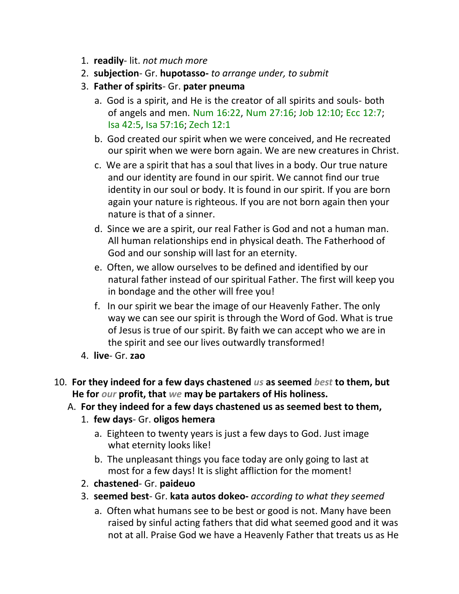- 1. **readily** lit. *not much more*
- 2. **subjection** Gr. **hupotasso-** *to arrange under, to submit*
- 3. **Father of spirits** Gr. **pater pneuma**
	- a. God is a spirit, and He is the creator of all spirits and souls- both of angels and men. Num 16:22, Num 27:16; Job 12:10; Ecc 12:7; Isa 42:5, Isa 57:16; Zech 12:1
	- b. God created our spirit when we were conceived, and He recreated our spirit when we were born again. We are new creatures in Christ.
	- c. We are a spirit that has a soul that lives in a body. Our true nature and our identity are found in our spirit. We cannot find our true identity in our soul or body. It is found in our spirit. If you are born again your nature is righteous. If you are not born again then your nature is that of a sinner.
	- d. Since we are a spirit, our real Father is God and not a human man. All human relationships end in physical death. The Fatherhood of God and our sonship will last for an eternity.
	- e. Often, we allow ourselves to be defined and identified by our natural father instead of our spiritual Father. The first will keep you in bondage and the other will free you!
	- f. In our spirit we bear the image of our Heavenly Father. The only way we can see our spirit is through the Word of God. What is true of Jesus is true of our spirit. By faith we can accept who we are in the spirit and see our lives outwardly transformed!
- 4. **live** Gr. **zao**
- 10. **For they indeed for a few days chastened** *us* **as seemed** *best* **to them, but He for** *our* **profit, that** *we* **may be partakers of His holiness.**
	- A. **For they indeed for a few days chastened us as seemed best to them,**
		- 1. **few days** Gr. **oligos hemera**
			- a. Eighteen to twenty years is just a few days to God. Just image what eternity looks like!
			- b. The unpleasant things you face today are only going to last at most for a few days! It is slight affliction for the moment!
		- 2. **chastened** Gr. **paideuo**
		- 3. **seemed best** Gr. **kata autos dokeo-** *according to what they seemed*
			- a. Often what humans see to be best or good is not. Many have been raised by sinful acting fathers that did what seemed good and it was not at all. Praise God we have a Heavenly Father that treats us as He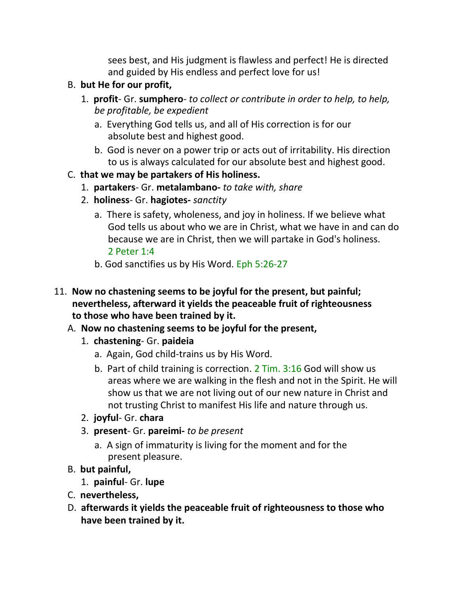sees best, and His judgment is flawless and perfect! He is directed and guided by His endless and perfect love for us!

- B. **but He for our profit,**
	- 1. **profit** Gr. **sumphero** *to collect or contribute in order to help, to help, be profitable, be expedient*
		- a. Everything God tells us, and all of His correction is for our absolute best and highest good.
		- b. God is never on a power trip or acts out of irritability. His direction to us is always calculated for our absolute best and highest good.
- C. **that we may be partakers of His holiness.**
	- 1. **partakers** Gr. **metalambano-** *to take with, share*
	- 2. **holiness** Gr. **hagiotes-** *sanctity*
		- a. There is safety, wholeness, and joy in holiness. If we believe what God tells us about who we are in Christ, what we have in and can do because we are in Christ, then we will partake in God's holiness. 2 Peter 1:4
		- b. God sanctifies us by His Word. Eph 5:26-27
- 11. **Now no chastening seems to be joyful for the present, but painful; nevertheless, afterward it yields the peaceable fruit of righteousness to those who have been trained by it.**
	- A. **Now no chastening seems to be joyful for the present,**
		- 1. **chastening** Gr. **paideia**
			- a. Again, God child-trains us by His Word.
			- b. Part of child training is correction. 2 Tim. 3:16 God will show us areas where we are walking in the flesh and not in the Spirit. He will show us that we are not living out of our new nature in Christ and not trusting Christ to manifest His life and nature through us.
		- 2. **joyful** Gr. **chara**
		- 3. **present** Gr. **pareimi-** *to be present*
			- a. A sign of immaturity is living for the moment and for the present pleasure.
	- B. **but painful,**
		- 1. **painful** Gr. **lupe**
	- C. **nevertheless,**
	- D. **afterwards it yields the peaceable fruit of righteousness to those who have been trained by it.**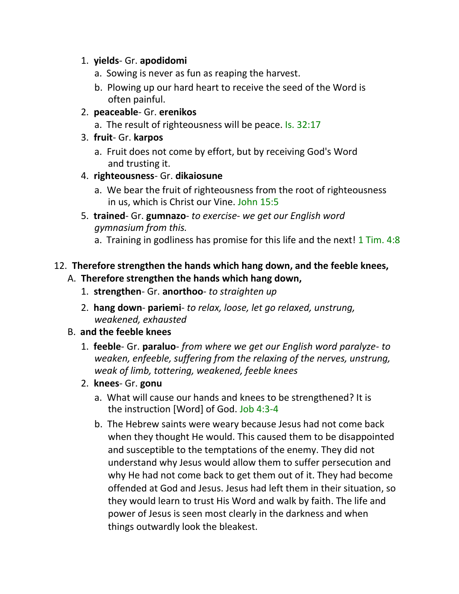#### 1. **yields**- Gr. **apodidomi**

- a. Sowing is never as fun as reaping the harvest.
- b. Plowing up our hard heart to receive the seed of the Word is often painful.

### 2. **peaceable**- Gr. **erenikos**

- a. The result of righteousness will be peace. Is. 32:17
- 3. **fruit** Gr. **karpos**
	- a. Fruit does not come by effort, but by receiving God's Word and trusting it.

### 4. **righteousness**- Gr. **dikaiosune**

- a. We bear the fruit of righteousness from the root of righteousness in us, which is Christ our Vine. John 15:5
- 5. **trained** Gr. **gumnazo** *to exercise we get our English word gymnasium from this.*
	- a. Training in godliness has promise for this life and the next! 1 Tim. 4:8

### 12. **Therefore strengthen the hands which hang down, and the feeble knees,**

### A. **Therefore strengthen the hands which hang down,**

- 1. **strengthen** Gr. **anorthoo** *to straighten up*
- 2. **hang down pariemi** *to relax, loose, let go relaxed, unstrung, weakened, exhausted*

#### B. **and the feeble knees**

- 1. **feeble** Gr. **paraluo** *from where we get our English word paralyze- to weaken, enfeeble, suffering from the relaxing of the nerves, unstrung, weak of limb, tottering, weakened, feeble knees*
- 2. **knees** Gr. **gonu**
	- a. What will cause our hands and knees to be strengthened? It is the instruction [Word] of God. Job 4:3-4
	- b. The Hebrew saints were weary because Jesus had not come back when they thought He would. This caused them to be disappointed and susceptible to the temptations of the enemy. They did not understand why Jesus would allow them to suffer persecution and why He had not come back to get them out of it. They had become offended at God and Jesus. Jesus had left them in their situation, so they would learn to trust His Word and walk by faith. The life and power of Jesus is seen most clearly in the darkness and when things outwardly look the bleakest.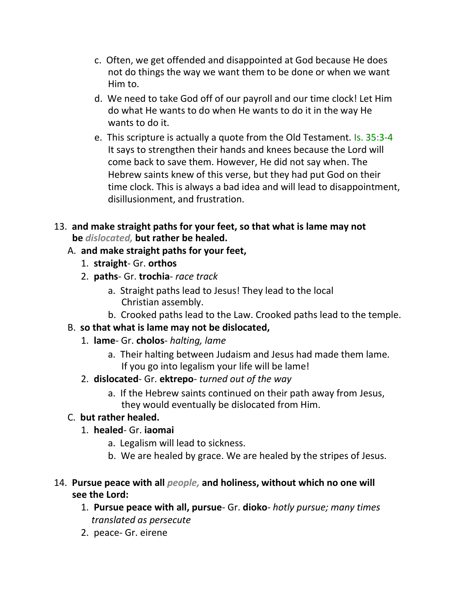- c. Often, we get offended and disappointed at God because He does not do things the way we want them to be done or when we want Him to.
- d. We need to take God off of our payroll and our time clock! Let Him do what He wants to do when He wants to do it in the way He wants to do it.
- e. This scripture is actually a quote from the Old Testament. Is. 35:3-4 It says to strengthen their hands and knees because the Lord will come back to save them. However, He did not say when. The Hebrew saints knew of this verse, but they had put God on their time clock. This is always a bad idea and will lead to disappointment, disillusionment, and frustration.
- 13. **and make straight paths for your feet, so that what is lame may not be** *dislocated,* **but rather be healed.**

## A. **and make straight paths for your feet,**

- 1. **straight** Gr. **orthos**
- 2. **paths** Gr. **trochia** *race track*
	- a. Straight paths lead to Jesus! They lead to the local Christian assembly.
	- b. Crooked paths lead to the Law. Crooked paths lead to the temple.

# B. **so that what is lame may not be dislocated,**

- 1. **lame** Gr. **cholos** *halting, lame*
	- a. Their halting between Judaism and Jesus had made them lame. If you go into legalism your life will be lame!
- 2. **dislocated** Gr. **ektrepo** *turned out of the way*
	- a. If the Hebrew saints continued on their path away from Jesus, they would eventually be dislocated from Him.

### C. **but rather healed.**

- 1. **healed** Gr. **iaomai**
	- a. Legalism will lead to sickness.
	- b. We are healed by grace. We are healed by the stripes of Jesus.
- 14. **Pursue peace with all** *people,* **and holiness, without which no one will see the Lord:**
	- 1. **Pursue peace with all, pursue** Gr. **dioko** *hotly pursue; many times translated as persecute*
	- 2. peace- Gr. eirene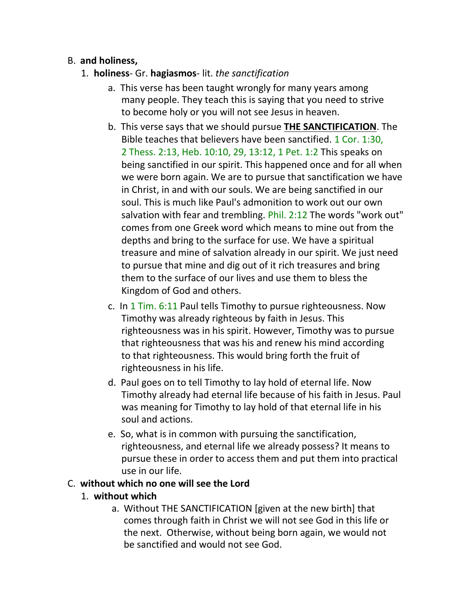### B. **and holiness,**

- 1. **holiness** Gr. **hagiasmos** lit. *the sanctification*
	- a. This verse has been taught wrongly for many years among many people. They teach this is saying that you need to strive to become holy or you will not see Jesus in heaven.
	- b. This verse says that we should pursue **THE SANCTIFICATION**. The Bible teaches that believers have been sanctified. 1 Cor. 1:30, 2 Thess. 2:13, Heb. 10:10, 29, 13:12, 1 Pet. 1:2 This speaks on being sanctified in our spirit. This happened once and for all when we were born again. We are to pursue that sanctification we have in Christ, in and with our souls. We are being sanctified in our soul. This is much like Paul's admonition to work out our own salvation with fear and trembling. Phil. 2:12 The words "work out" comes from one Greek word which means to mine out from the depths and bring to the surface for use. We have a spiritual treasure and mine of salvation already in our spirit. We just need to pursue that mine and dig out of it rich treasures and bring them to the surface of our lives and use them to bless the Kingdom of God and others.
	- c. In 1 Tim. 6:11 Paul tells Timothy to pursue righteousness. Now Timothy was already righteous by faith in Jesus. This righteousness was in his spirit. However, Timothy was to pursue that righteousness that was his and renew his mind according to that righteousness. This would bring forth the fruit of righteousness in his life.
	- d. Paul goes on to tell Timothy to lay hold of eternal life. Now Timothy already had eternal life because of his faith in Jesus. Paul was meaning for Timothy to lay hold of that eternal life in his soul and actions.
	- e. So, what is in common with pursuing the sanctification, righteousness, and eternal life we already possess? It means to pursue these in order to access them and put them into practical use in our life.

#### C. **without which no one will see the Lord**

#### 1. **without which**

a. Without THE SANCTIFICATION [given at the new birth] that comes through faith in Christ we will not see God in this life or the next. Otherwise, without being born again, we would not be sanctified and would not see God.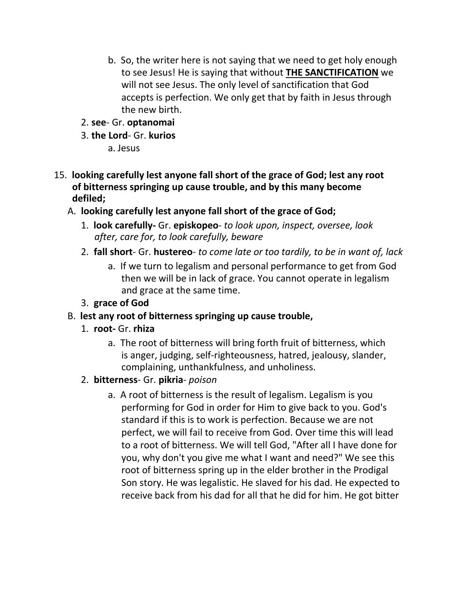- b. So, the writer here is not saying that we need to get holy enough to see Jesus! He is saying that without **THE SANCTIFICATION** we will not see Jesus. The only level of sanctification that God accepts is perfection. We only get that by faith in Jesus through the new birth.
- 2. **see** Gr. **optanomai**
- 3. **the Lord** Gr. **kurios**
	- a. Jesus
- 15. **looking carefully lest anyone fall short of the grace of God; lest any root of bitterness springing up cause trouble, and by this many become defiled;**
	- A. **looking carefully lest anyone fall short of the grace of God;**
		- 1. **look carefully-** Gr. **episkopeo** *to look upon, inspect, oversee, look after, care for, to look carefully, beware*
		- 2. **fall short** Gr. **hustereo** *to come late or too tardily, to be in want of, lack*
			- a. If we turn to legalism and personal performance to get from God then we will be in lack of grace. You cannot operate in legalism and grace at the same time.
		- 3. **grace of God**
	- B. **lest any root of bitterness springing up cause trouble,**
		- 1. **root-** Gr. **rhiza**
			- a. The root of bitterness will bring forth fruit of bitterness, which is anger, judging, self-righteousness, hatred, jealousy, slander, complaining, unthankfulness, and unholiness.
		- 2. **bitterness** Gr. **pikria** *poison*
			- a. A root of bitterness is the result of legalism. Legalism is you performing for God in order for Him to give back to you. God's standard if this is to work is perfection. Because we are not perfect, we will fail to receive from God. Over time this will lead to a root of bitterness. We will tell God, "After all I have done for you, why don't you give me what I want and need?" We see this root of bitterness spring up in the elder brother in the Prodigal Son story. He was legalistic. He slaved for his dad. He expected to receive back from his dad for all that he did for him. He got bitter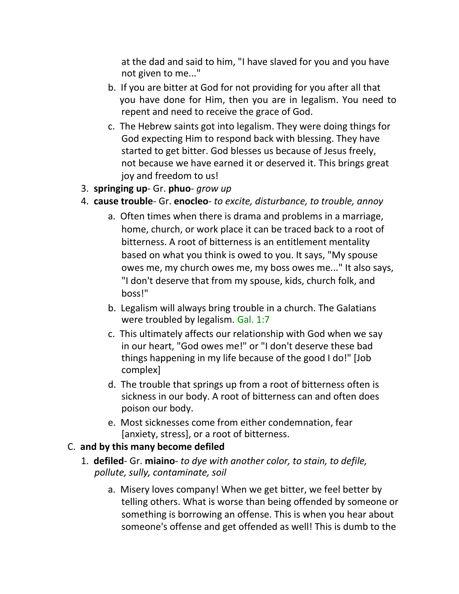at the dad and said to him, "I have slaved for you and you have not given to me..."

- b. If you are bitter at God for not providing for you after all that you have done for Him, then you are in legalism. You need to repent and need to receive the grace of God.
- c. The Hebrew saints got into legalism. They were doing things for God expecting Him to respond back with blessing. They have started to get bitter. God blesses us because of Jesus freely, not because we have earned it or deserved it. This brings great joy and freedom to us!
- 3. **springing up** Gr. **phuo** *grow up*
- 4. **cause trouble** Gr. **enocleo** *to excite, disturbance, to trouble, annoy*
	- a. Often times when there is drama and problems in a marriage, home, church, or work place it can be traced back to a root of bitterness. A root of bitterness is an entitlement mentality based on what you think is owed to you. It says, "My spouse owes me, my church owes me, my boss owes me..." It also says, "I don't deserve that from my spouse, kids, church folk, and boss!"
	- b. Legalism will always bring trouble in a church. The Galatians were troubled by legalism. Gal. 1:7
	- c. This ultimately affects our relationship with God when we say in our heart, "God owes me!" or "I don't deserve these bad things happening in my life because of the good I do!" [Job complex]
	- d. The trouble that springs up from a root of bitterness often is sickness in our body. A root of bitterness can and often does poison our body.
	- e. Most sicknesses come from either condemnation, fear [anxiety, stress], or a root of bitterness.

#### C. **and by this many become defiled**

- 1. **defiled** Gr. **miaino** *to dye with another color, to stain, to defile, pollute, sully, contaminate, soil*
	- a. Misery loves company! When we get bitter, we feel better by telling others. What is worse than being offended by someone or something is borrowing an offense. This is when you hear about someone's offense and get offended as well! This is dumb to the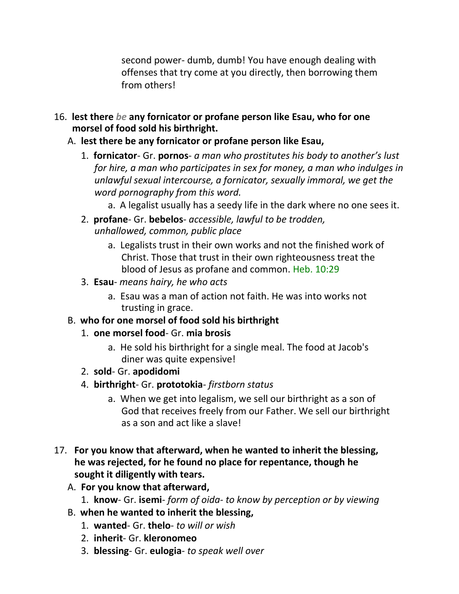second power- dumb, dumb! You have enough dealing with offenses that try come at you directly, then borrowing them from others!

- 16. **lest there** *be* **any fornicator or profane person like Esau, who for one morsel of food sold his birthright.**
	- A. **lest there be any fornicator or profane person like Esau,**
		- 1. **fornicator** Gr. **pornos** *a man who prostitutes his body to another's lust for hire, a man who participates in sex for money, a man who indulges in unlawful sexual intercourse, a fornicator, sexually immoral, we get the word pornography from this word.*
			- a. A legalist usually has a seedy life in the dark where no one sees it.
		- 2. **profane** Gr. **bebelos** *accessible, lawful to be trodden, unhallowed, common, public place*
			- a. Legalists trust in their own works and not the finished work of Christ. Those that trust in their own righteousness treat the blood of Jesus as profane and common. Heb. 10:29
		- 3. **Esau** *means hairy, he who acts*
			- a. Esau was a man of action not faith. He was into works not trusting in grace.
	- B. **who for one morsel of food sold his birthright**
		- 1. **one morsel food** Gr. **mia brosis**
			- a. He sold his birthright for a single meal. The food at Jacob's diner was quite expensive!
		- 2. **sold** Gr. **apodidomi**
		- 4. **birthright** Gr. **prototokia** *firstborn status*
			- a. When we get into legalism, we sell our birthright as a son of God that receives freely from our Father. We sell our birthright as a son and act like a slave!
- 17. **For you know that afterward, when he wanted to inherit the blessing, he was rejected, for he found no place for repentance, though he sought it diligently with tears.**
	- A. **For you know that afterward,**
		- 1. **know** Gr. **isemi** *form of oida- to know by perception or by viewing*
	- B. **when he wanted to inherit the blessing,**
		- 1. **wanted** Gr. **thelo** *to will or wish*
		- 2. **inherit** Gr. **kleronomeo**
		- 3. **blessing** Gr. **eulogia** *to speak well over*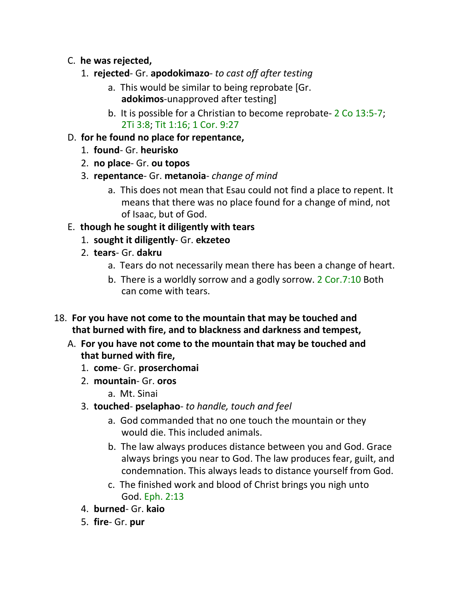- C. **he was rejected,**
	- 1. **rejected** Gr. **apodokimazo** *to cast off after testing*
		- a. This would be similar to being reprobate [Gr. **adokimos**-unapproved after testing]
		- b. It is possible for a Christian to become reprobate- 2 Co 13:5-7; 2Ti 3:8; Tit 1:16; 1 Cor. 9:27
- D. **for he found no place for repentance,**
	- 1. **found** Gr. **heurisko**
	- 2. **no place** Gr. **ou topos**
	- 3. **repentance** Gr. **metanoia** *change of mind*
		- a. This does not mean that Esau could not find a place to repent. It means that there was no place found for a change of mind, not of Isaac, but of God.
- E. **though he sought it diligently with tears**
	- 1. **sought it diligently** Gr. **ekzeteo**
	- 2. **tears** Gr. **dakru**
		- a. Tears do not necessarily mean there has been a change of heart.
		- b. There is a worldly sorrow and a godly sorrow. 2 Cor.7:10 Both can come with tears.
- 18. **For you have not come to the mountain that may be touched and that burned with fire, and to blackness and darkness and tempest,**
	- A. **For you have not come to the mountain that may be touched and that burned with fire,**
		- 1. **come** Gr. **proserchomai**
		- 2. **mountain** Gr. **oros**
			- a. Mt. Sinai
		- 3. **touched pselaphao** *to handle, touch and feel*
			- a. God commanded that no one touch the mountain or they would die. This included animals.
			- b. The law always produces distance between you and God. Grace always brings you near to God. The law produces fear, guilt, and condemnation. This always leads to distance yourself from God.
			- c. The finished work and blood of Christ brings you nigh unto God. Eph. 2:13
		- 4. **burned** Gr. **kaio**
		- 5. **fire** Gr. **pur**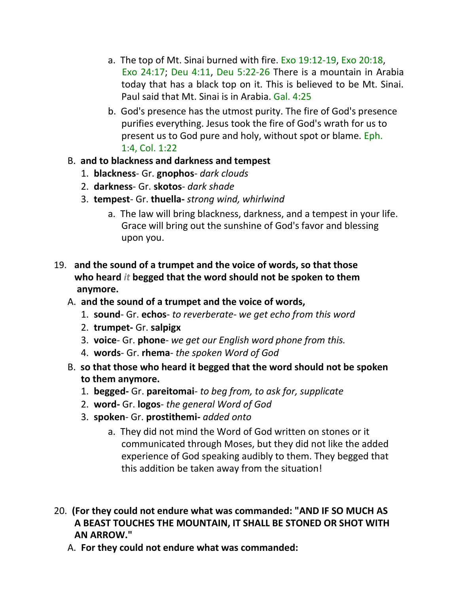- a. The top of Mt. Sinai burned with fire. Exo 19:12-19, Exo 20:18, Exo 24:17; Deu 4:11, Deu 5:22-26 There is a mountain in Arabia today that has a black top on it. This is believed to be Mt. Sinai. Paul said that Mt. Sinai is in Arabia. Gal. 4:25
- b. God's presence has the utmost purity. The fire of God's presence purifies everything. Jesus took the fire of God's wrath for us to present us to God pure and holy, without spot or blame. Eph. 1:4, Col. 1:22
- B. **and to blackness and darkness and tempest**
	- 1. **blackness** Gr. **gnophos** *dark clouds*
	- 2. **darkness** Gr. **skotos** *dark shade*
	- 3. **tempest** Gr. **thuella-** *strong wind, whirlwind*
		- a. The law will bring blackness, darkness, and a tempest in your life. Grace will bring out the sunshine of God's favor and blessing upon you.
- 19. **and the sound of a trumpet and the voice of words, so that those who heard** *it* **begged that the word should not be spoken to them anymore.**
	- A. **and the sound of a trumpet and the voice of words,**
		- 1. **sound** Gr. **echos** *to reverberate- we get echo from this word*
		- 2. **trumpet-** Gr. **salpigx**
		- 3. **voice** Gr. **phone** *we get our English word phone from this.*
		- 4. **words** Gr. **rhema** *the spoken Word of God*
	- B. **so that those who heard it begged that the word should not be spoken to them anymore.**
		- 1. **begged-** Gr. **pareitomai** *to beg from, to ask for, supplicate*
		- 2. **word-** Gr. **logos** *the general Word of God*
		- 3. **spoken** Gr. **prostithemi-** *added onto*
			- a. They did not mind the Word of God written on stones or it communicated through Moses, but they did not like the added experience of God speaking audibly to them. They begged that this addition be taken away from the situation!
- 20. **(For they could not endure what was commanded: "AND IF SO MUCH AS A BEAST TOUCHES THE MOUNTAIN, IT SHALL BE STONED OR SHOT WITH AN ARROW."**
	- A. **For they could not endure what was commanded:**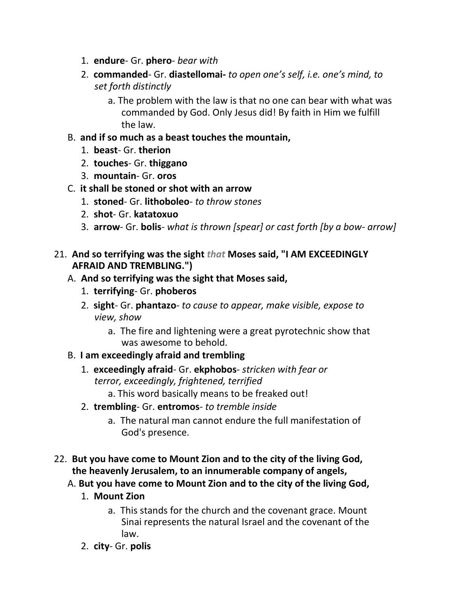- 1. **endure** Gr. **phero** *bear with*
- 2. **commanded** Gr. **diastellomai-** *to open one's self, i.e. one's mind, to set forth distinctly*
	- a. The problem with the law is that no one can bear with what was commanded by God. Only Jesus did! By faith in Him we fulfill the law.
- B. **and if so much as a beast touches the mountain,**
	- 1. **beast** Gr. **therion**
	- 2. **touches** Gr. **thiggano**
	- 3. **mountain** Gr. **oros**
- C. **it shall be stoned or shot with an arrow**
	- 1. **stoned** Gr. **lithoboleo** *to throw stones*
	- 2. **shot** Gr. **katatoxuo**
	- 3. **arrow** Gr. **bolis** *what is thrown [spear] or cast forth [by a bow- arrow]*
- 21. **And so terrifying was the sight** *that* **Moses said, "I AM EXCEEDINGLY AFRAID AND TREMBLING.")**
	- A. **And so terrifying was the sight that Moses said,**
		- 1. **terrifying** Gr. **phoberos**
		- 2. **sight** Gr. **phantazo** *to cause to appear, make visible, expose to view, show*
			- a. The fire and lightening were a great pyrotechnic show that was awesome to behold.
	- B. **I am exceedingly afraid and trembling**
		- 1. **exceedingly afraid** Gr. **ekphobos** *stricken with fear or terror, exceedingly, frightened, terrified*
			- a. This word basically means to be freaked out!
		- 2. **trembling** Gr. **entromos** *to tremble inside*
			- a. The natural man cannot endure the full manifestation of God's presence.
- 22. **But you have come to Mount Zion and to the city of the living God, the heavenly Jerusalem, to an innumerable company of angels,**
	- A. **But you have come to Mount Zion and to the city of the living God,**
		- 1. **Mount Zion**
			- a. This stands for the church and the covenant grace. Mount Sinai represents the natural Israel and the covenant of the law.
		- 2. **city** Gr. **polis**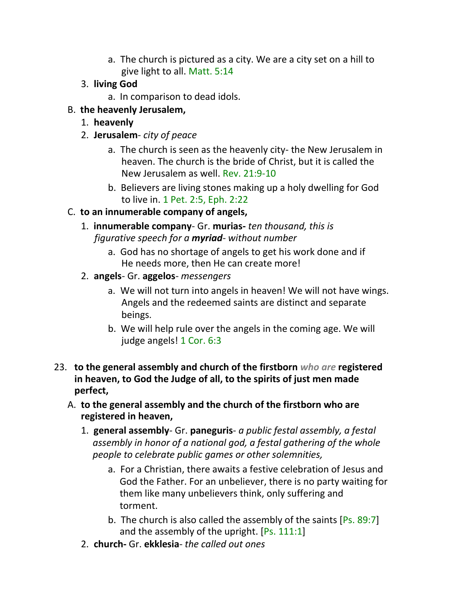- a. The church is pictured as a city. We are a city set on a hill to give light to all. Matt. 5:14
- 3. **living God**
	- a. In comparison to dead idols.
- B. **the heavenly Jerusalem,**
	- 1. **heavenly**
	- 2. **Jerusalem** *city of peace*
		- a. The church is seen as the heavenly city- the New Jerusalem in heaven. The church is the bride of Christ, but it is called the New Jerusalem as well. Rev. 21:9-10
		- b. Believers are living stones making up a holy dwelling for God to live in. 1 Pet. 2:5, Eph. 2:22
- C. **to an innumerable company of angels,**
	- 1. **innumerable company** Gr. **murias-** *ten thousand, this is figurative speech for a myriad- without number*
		- a. God has no shortage of angels to get his work done and if He needs more, then He can create more!
	- 2. **angels** Gr. **aggelos** *messengers*
		- a. We will not turn into angels in heaven! We will not have wings. Angels and the redeemed saints are distinct and separate beings.
		- b. We will help rule over the angels in the coming age. We will judge angels! 1 Cor. 6:3
- 23. **to the general assembly and church of the firstborn** *who are* **registered in heaven, to God the Judge of all, to the spirits of just men made perfect,**
	- A. **to the general assembly and the church of the firstborn who are registered in heaven,**
		- 1. **general assembly** Gr. **paneguris** *a public festal assembly, a festal assembly in honor of a national god, a festal gathering of the whole people to celebrate public games or other solemnities,*
			- a. For a Christian, there awaits a festive celebration of Jesus and God the Father. For an unbeliever, there is no party waiting for them like many unbelievers think, only suffering and torment.
			- b. The church is also called the assembly of the saints [Ps. 89:7] and the assembly of the upright. [Ps. 111:1]
		- 2. **church-** Gr. **ekklesia** *the called out ones*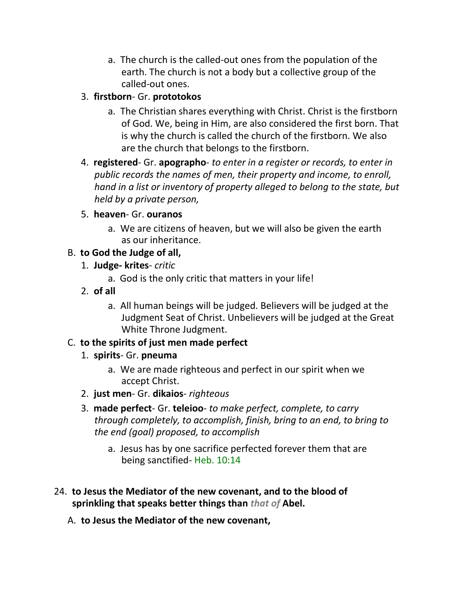a. The church is the called-out ones from the population of the earth. The church is not a body but a collective group of the called-out ones.

### 3. **firstborn**- Gr. **prototokos**

- a. The Christian shares everything with Christ. Christ is the firstborn of God. We, being in Him, are also considered the first born. That is why the church is called the church of the firstborn. We also are the church that belongs to the firstborn.
- 4. **registered** Gr. **apographo** *to enter in a register or records, to enter in public records the names of men, their property and income, to enroll, hand in a list or inventory of property alleged to belong to the state, but held by a private person,*
- 5. **heaven** Gr. **ouranos**
	- a. We are citizens of heaven, but we will also be given the earth as our inheritance.

# B. **to God the Judge of all,**

- 1. **Judge- krites** *critic*
	- a. God is the only critic that matters in your life!
- 2. **of all**
	- a. All human beings will be judged. Believers will be judged at the Judgment Seat of Christ. Unbelievers will be judged at the Great White Throne Judgment.

# C. **to the spirits of just men made perfect**

- 1. **spirits** Gr. **pneuma**
	- a. We are made righteous and perfect in our spirit when we accept Christ.
- 2. **just men** Gr. **dikaios** *righteous*
- 3. **made perfect** Gr. **teleioo** *to make perfect, complete, to carry through completely, to accomplish, finish, bring to an end, to bring to the end (goal) proposed, to accomplish*
	- a. Jesus has by one sacrifice perfected forever them that are being sanctified- Heb. 10:14
- 24. **to Jesus the Mediator of the new covenant, and to the blood of sprinkling that speaks better things than** *that of* **Abel.**
	- A. **to Jesus the Mediator of the new covenant,**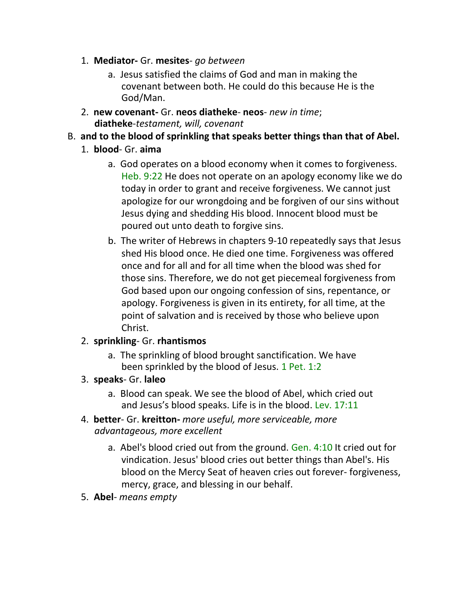- 1. **Mediator-** Gr. **mesites** *go between*
	- a. Jesus satisfied the claims of God and man in making the covenant between both. He could do this because He is the God/Man.
- 2. **new covenant-** Gr. **neos diatheke neos** *new in time*; **diatheke**-*testament, will, covenant*
- B. **and to the blood of sprinkling that speaks better things than that of Abel.**
	- 1. **blood** Gr. **aima**
		- a. God operates on a blood economy when it comes to forgiveness. Heb. 9:22 He does not operate on an apology economy like we do today in order to grant and receive forgiveness. We cannot just apologize for our wrongdoing and be forgiven of our sins without Jesus dying and shedding His blood. Innocent blood must be poured out unto death to forgive sins.
		- b. The writer of Hebrews in chapters 9-10 repeatedly says that Jesus shed His blood once. He died one time. Forgiveness was offered once and for all and for all time when the blood was shed for those sins. Therefore, we do not get piecemeal forgiveness from God based upon our ongoing confession of sins, repentance, or apology. Forgiveness is given in its entirety, for all time, at the point of salvation and is received by those who believe upon Christ.

#### 2. **sprinkling**- Gr. **rhantismos**

- a. The sprinkling of blood brought sanctification. We have been sprinkled by the blood of Jesus. 1 Pet. 1:2
- 3. **speaks** Gr. **laleo**
	- a. Blood can speak. We see the blood of Abel, which cried out and Jesus's blood speaks. Life is in the blood. Lev. 17:11
- 4. **better** Gr. **kreitton-** *more useful, more serviceable, more advantageous, more excellent*
	- a. Abel's blood cried out from the ground. Gen. 4:10 It cried out for vindication. Jesus' blood cries out better things than Abel's. His blood on the Mercy Seat of heaven cries out forever- forgiveness, mercy, grace, and blessing in our behalf.
- 5. **Abel** *means empty*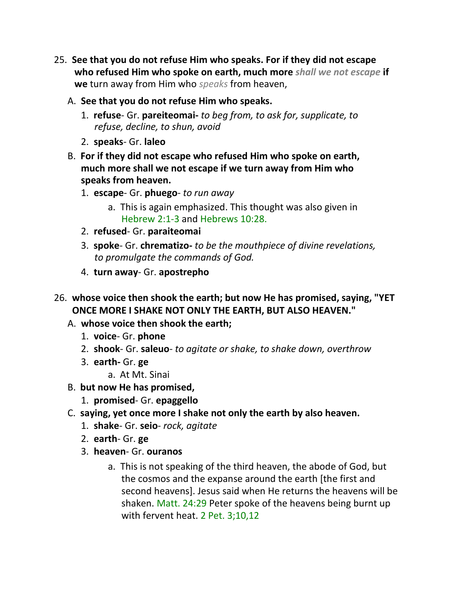- 25. **See that you do not refuse Him who speaks. For if they did not escape who refused Him who spoke on earth, much more** *shall we not escape* **if we** turn away from Him who *speaks* from heaven,
	- A. **See that you do not refuse Him who speaks.**
		- 1. **refuse** Gr. **pareiteomai-** *to beg from, to ask for, supplicate, to refuse, decline, to shun, avoid*
		- 2. **speaks** Gr. **laleo**
	- B. **For if they did not escape who refused Him who spoke on earth, much more shall we not escape if we turn away from Him who speaks from heaven.**
		- 1. **escape** Gr. **phuego** *to run away*
			- a. This is again emphasized. This thought was also given in Hebrew 2:1-3 and Hebrews 10:28.
		- 2. **refused** Gr. **paraiteomai**
		- 3. **spoke** Gr. **chrematizo-** *to be the mouthpiece of divine revelations, to promulgate the commands of God.*
		- 4. **turn away** Gr. **apostrepho**
- 26. **whose voice then shook the earth; but now He has promised, saying, "YET ONCE MORE I SHAKE NOT ONLY THE EARTH, BUT ALSO HEAVEN."**
	- A. **whose voice then shook the earth;**
		- 1. **voice** Gr. **phone**
		- 2. **shook** Gr. **saleuo** *to agitate or shake, to shake down, overthrow*
		- 3. **earth-** Gr. **ge**
			- a. At Mt. Sinai
	- B. **but now He has promised,**
		- 1. **promised** Gr. **epaggello**
	- C. **saying, yet once more I shake not only the earth by also heaven.**
		- 1. **shake** Gr. **seio** *rock, agitate*
		- 2. **earth** Gr. **ge**
		- 3. **heaven** Gr. **ouranos**
			- a. This is not speaking of the third heaven, the abode of God, but the cosmos and the expanse around the earth [the first and second heavens]. Jesus said when He returns the heavens will be shaken. Matt. 24:29 Peter spoke of the heavens being burnt up with fervent heat. 2 Pet. 3;10,12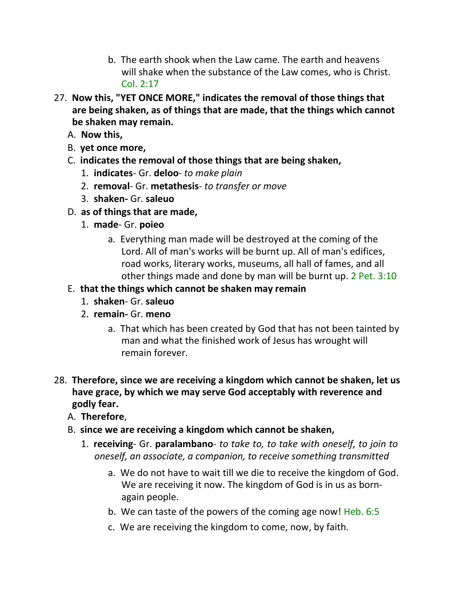- b. The earth shook when the Law came. The earth and heavens will shake when the substance of the Law comes, who is Christ. Col. 2:17
- 27. **Now this, "YET ONCE MORE," indicates the removal of those things that are being shaken, as of things that are made, that the things which cannot be shaken may remain.**
	- A. **Now this,**
	- B. **yet once more,**
	- C. **indicates the removal of those things that are being shaken,**
		- 1. **indicates** Gr. **deloo** *to make plain*
		- 2. **removal** Gr. **metathesis** *to transfer or move*
		- 3. **shaken-** Gr. **saleuo**
	- D. **as of things that are made,**
		- 1. **made** Gr. **poieo**
			- a. Everything man made will be destroyed at the coming of the Lord. All of man's works will be burnt up. All of man's edifices, road works, literary works, museums, all hall of fames, and all other things made and done by man will be burnt up. 2 Pet. 3:10

# E. **that the things which cannot be shaken may remain**

- 1. **shaken** Gr. **saleuo**
- 2. **remain-** Gr. **meno**
	- a. That which has been created by God that has not been tainted by man and what the finished work of Jesus has wrought will remain forever.
- 28. **Therefore, since we are receiving a kingdom which cannot be shaken, let us have grace, by which we may serve God acceptably with reverence and godly fear.**
	- A. **Therefore**,
	- B. **since we are receiving a kingdom which cannot be shaken,**
		- 1. **receiving** Gr. **paralambano** *to take to, to take with oneself, to join to oneself, an associate, a companion, to receive something transmitted*
			- a. We do not have to wait till we die to receive the kingdom of God. We are receiving it now. The kingdom of God is in us as bornagain people.
			- b. We can taste of the powers of the coming age now! Heb. 6:5
			- c. We are receiving the kingdom to come, now, by faith.